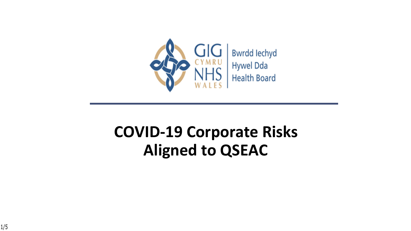

### **COVID-19 Corporate Risks Aligned to QSEAC**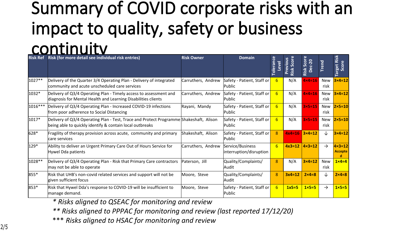### **Summary of COVID corporate risks with an impact to quality, safety or business continuity Risk Ref Risk (for more detail see individual risk entries) Risk Owner Domain**

| <b>Risk Ref</b> | Risk (for more detail see individual risk entries)                                                                                                 | <b>Risk Owner</b>  | <b>Domain</b>                               | <b>olerance</b><br><b>Level</b> | Score<br>Smo<br>$\overline{\mathbf{v}}$<br>Risk | core<br>$c - 20$<br>Ğ.<br>Risk<br>$\omega$<br>$\Omega$ | rend               | Risk<br>Score<br>rget<br>ര          |
|-----------------|----------------------------------------------------------------------------------------------------------------------------------------------------|--------------------|---------------------------------------------|---------------------------------|-------------------------------------------------|--------------------------------------------------------|--------------------|-------------------------------------|
| 1027**          | Delivery of the Quarter 3/4 Operating Plan - Delivery of integrated<br>community and acute unscheduled care services                               | Carruthers, Andrew | Safety - Patient, Staff or<br>Public        | 6                               | N/A                                             | $4 \times 4 = 16$                                      | New<br>risk        | $3\times 4=12$                      |
| 1032*           | Delivery of Q3/4 Operating Plan - Timely access to assessment and<br>diagnosis for Mental Health and Learning Disabilities clients                 | Carruthers, Andrew | Safety - Patient, Staff or<br>Public        | 6 <sup>1</sup>                  | N/A                                             | $4 \times 4 = 16$                                      | New<br>risk        | $3\times 4=12$                      |
| 1016***         | Delivery of Q3/4 Operating Plan - Increased COVID-19 infections<br>from poor adherence to Social Distancing                                        | Rayani, Mandy      | Safety - Patient, Staff or<br>Public        | 6 <sup>1</sup>                  | N/A                                             | $3\times5=15$                                          | New<br>risk        | $2\times 5=10$                      |
| 1017*           | Delivery of Q3/4 Operating Plan - Test, Trace and Protect Programme Shakeshaft, Alison<br>being able to quickly identify & contain local outbreaks |                    | Safety - Patient, Staff or<br>Public        | 6 <sup>1</sup>                  | N/A                                             | $3\times 5=15$                                         | <b>New</b><br>risk | $ 2 \times 5 = 10 $                 |
| 628*            | Fragility of therapy provision across acute, community and primary<br>care services                                                                | Shakeshaft, Alison | Safety - Patient, Staff or<br>Public        | 8                               | $4x4=16$                                        | $3\times 4=12$                                         | ↓                  | $3\times 4=12$                      |
| 129*            | Ability to deliver an Urgent Primary Care Out of Hours Service for<br>Hywel Dda patients                                                           | Carruthers, Andrew | Service/Business<br>interruption/disruption | 6                               | $4x3=12$                                        | $4 \times 3 = 12$                                      | $\rightarrow$      | $4 \times 3 = 12$<br><b>Accepte</b> |
| 1028 **         | Delivery of Q3/4 Operating Plan - Risk that Primary Care contractors<br>may not be able to operate                                                 | Paterson, Jill     | Quality/Complaints/<br>Audit                | 8                               | N/A                                             | $3\times 4=12$                                         | <b>New</b><br>risk | $1 \times 4 = 4$                    |
| 855*            | Risk that UHB's non-covid related services and support will not be<br>given sufficient focus                                                       | Moore, Steve       | Quality/Complaints/<br>Audit                | 8                               | $3x4=12$                                        | $2\times 4=8$                                          | ↓                  | $2 \times 4 = 8$                    |
| 853*            | Risk that Hywel Dda's response to COVID-19 will be insufficient to<br>manage demand.                                                               | Moore, Steve       | Safety - Patient, Staff or<br>Public        | 6 <sup>1</sup>                  | $1x5=5$                                         | $1 \times 5 = 5$                                       | $\rightarrow$      | $1 \times 5 = 5$                    |

*\* Risks aligned to QSEAC for monitoring and review*

*\*\* Risks aligned to PPPAC for monitoring and review (last reported 17/12/20)*

\*\*\* *Risks aligned to HSAC for monitoring and review*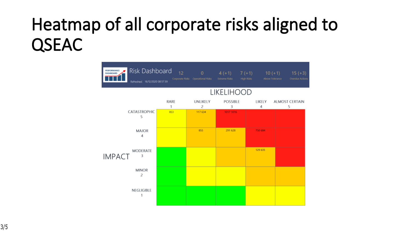# **Heatmap of all corporate risks aligned to QSEAC**

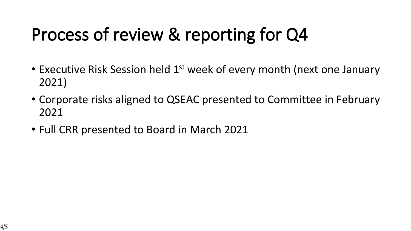# **Process of review & reporting for Q4**

- Executive Risk Session held 1<sup>st</sup> week of every month (next one January 2021)
- Corporate risks aligned to QSEAC presented to Committee in February 2021
- Full CRR presented to Board in March 2021